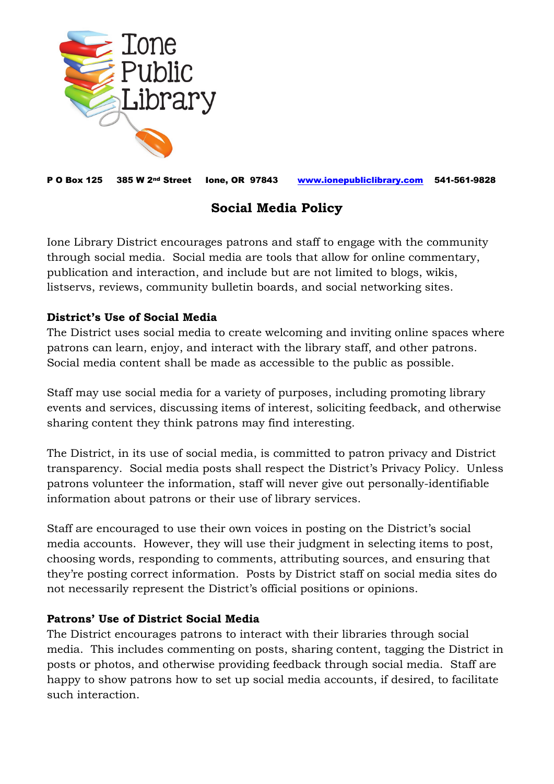

P O Box 125 385 W 2nd Street Ione, OR 97843 [www.ionepubliclibrary.com](http://www.ionepubliclibrary.com/) 541-561-9828

# **Social Media Policy**

Ione Library District encourages patrons and staff to engage with the community through social media. Social media are tools that allow for online commentary, publication and interaction, and include but are not limited to blogs, wikis, listservs, reviews, community bulletin boards, and social networking sites.

## **District's Use of Social Media**

The District uses social media to create welcoming and inviting online spaces where patrons can learn, enjoy, and interact with the library staff, and other patrons. Social media content shall be made as accessible to the public as possible.

Staff may use social media for a variety of purposes, including promoting library events and services, discussing items of interest, soliciting feedback, and otherwise sharing content they think patrons may find interesting.

The District, in its use of social media, is committed to patron privacy and District transparency. Social media posts shall respect the District's Privacy Policy. Unless patrons volunteer the information, staff will never give out personally-identifiable information about patrons or their use of library services.

Staff are encouraged to use their own voices in posting on the District's social media accounts. However, they will use their judgment in selecting items to post, choosing words, responding to comments, attributing sources, and ensuring that they're posting correct information. Posts by District staff on social media sites do not necessarily represent the District's official positions or opinions.

## **Patrons' Use of District Social Media**

The District encourages patrons to interact with their libraries through social media. This includes commenting on posts, sharing content, tagging the District in posts or photos, and otherwise providing feedback through social media. Staff are happy to show patrons how to set up social media accounts, if desired, to facilitate such interaction.